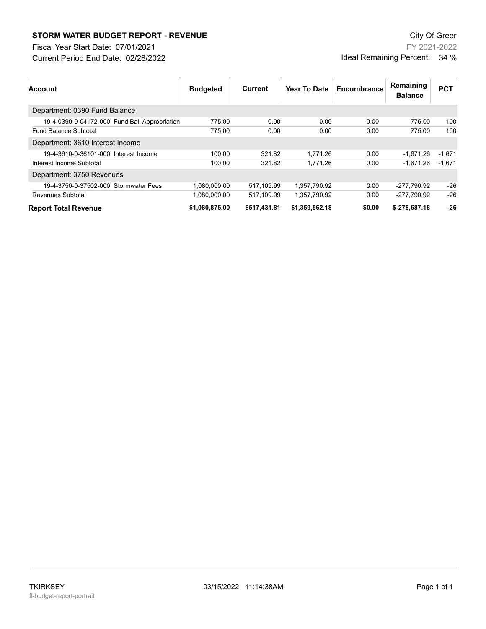## **STORM WATER BUDGET REPORT - REVENUE CONSUMPTER BUDGET REPORT - REVENUE**

Current Period End Date: 02/28/2022 Fiscal Year Start Date: 07/01/2021

FY 2021-2022 Ideal Remaining Percent: 34 %

| <b>Account</b>                                | <b>Budgeted</b> | Current      | Year To Date   | Encumbrance | Remaining<br><b>Balance</b> | <b>PCT</b> |
|-----------------------------------------------|-----------------|--------------|----------------|-------------|-----------------------------|------------|
| Department: 0390 Fund Balance                 |                 |              |                |             |                             |            |
| 19-4-0390-0-04172-000 Fund Bal. Appropriation | 775.00          | 0.00         | 0.00           | 0.00        | 775.00                      | 100        |
| <b>Fund Balance Subtotal</b>                  | 775.00          | 0.00         | 0.00           | 0.00        | 775.00                      | 100        |
| Department: 3610 Interest Income              |                 |              |                |             |                             |            |
| 19-4-3610-0-36101-000 Interest Income         | 100.00          | 321.82       | 1.771.26       | 0.00        | -1.671.26                   | $-1.671$   |
| Interest Income Subtotal                      | 100.00          | 321.82       | 1.771.26       | 0.00        | $-1.671.26$                 | $-1.671$   |
| Department: 3750 Revenues                     |                 |              |                |             |                             |            |
| 19-4-3750-0-37502-000 Stormwater Fees         | 1.080.000.00    | 517.109.99   | 1.357.790.92   | 0.00        | -277.790.92                 | $-26$      |
| Revenues Subtotal                             | 1.080.000.00    | 517.109.99   | 1.357.790.92   | 0.00        | -277,790.92                 | $-26$      |
| <b>Report Total Revenue</b>                   | \$1,080,875.00  | \$517,431.81 | \$1,359,562.18 | \$0.00      | \$-278,687.18               | $-26$      |